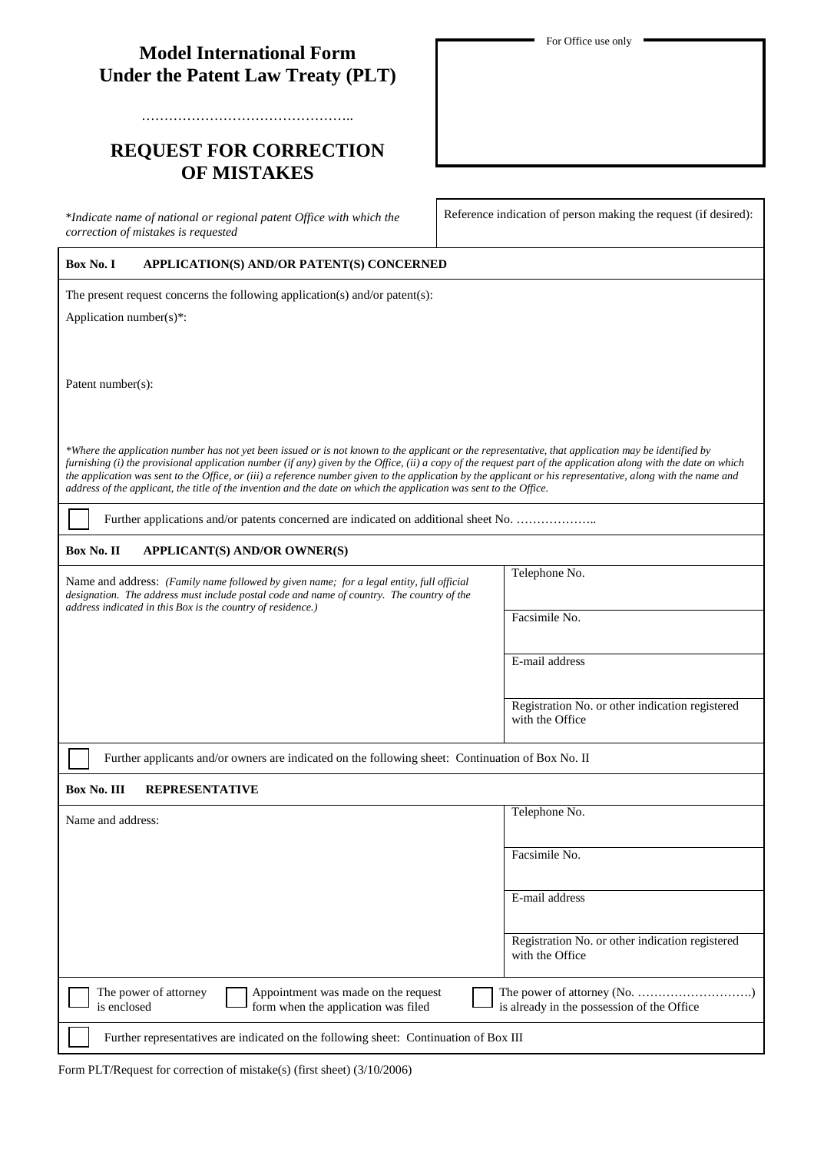## **Model International Form Under the Patent Law Treaty (PLT)**

………………………………………..

# **REQUEST FOR CORRECTION OF MISTAKES**

\**Indicate name of national or regional patent Office with which the correction of mistakes is requested*

Reference indication of person making the request (if desired):

### **Box No. I APPLICATION(S) AND/OR PATENT(S) CONCERNED**

The present request concerns the following application(s) and/or patent(s):

Application number(s)\*:

Patent number(s):

*\*Where the application number has not yet been issued or is not known to the applicant or the representative, that application may be identified by furnishing (i) the provisional application number (if any) given by the Office, (ii) a copy of the request part of the application along with the date on which the application was sent to the Office, or (iii) a reference number given to the application by the applicant or his representative, along with the name and address of the applicant, the title of the invention and the date on which the application was sent to the Office.*

Further applications and/or patents concerned are indicated on additional sheet No. …………………

#### **Box No. II APPLICANT(S) AND/OR OWNER(S)**

Name and address: *(Family name followed by given name; for a legal entity, full official designation. The address must include postal code and name of country. The country of the address indicated in this Box is the country of residence.)*

Facsimile No.

Telephone No.

E-mail address

Registration No. or other indication registered with the Office

Further applicants and/or owners are indicated on the following sheet: Continuation of Box No. II

#### **Box No. III REPRESENTATIVE**

| Name and address:                                                                                                  | Telephone No.                                                      |
|--------------------------------------------------------------------------------------------------------------------|--------------------------------------------------------------------|
|                                                                                                                    | Facsimile No.                                                      |
|                                                                                                                    | E-mail address                                                     |
|                                                                                                                    | Registration No. or other indication registered<br>with the Office |
| The power of attorney<br>Appointment was made on the request<br>form when the application was filed<br>is enclosed | is already in the possession of the Office                         |
| Further representatives are indicated on the following sheet: Continuation of Box III                              |                                                                    |

Form PLT/Request for correction of mistake(s) (first sheet) (3/10/2006)

For Office use only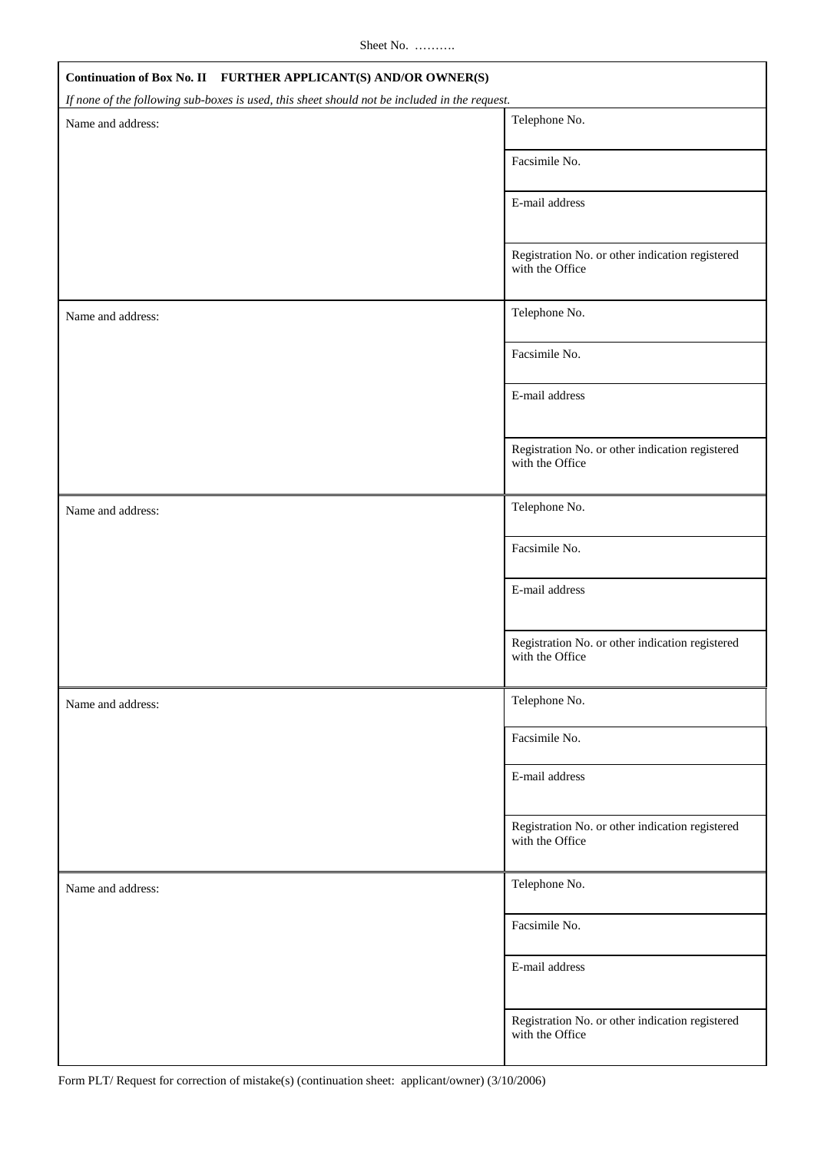Sheet No. ……….

| Continuation of Box No. II FURTHER APPLICANT(S) AND/OR OWNER(S)                               |                                                                    |  |
|-----------------------------------------------------------------------------------------------|--------------------------------------------------------------------|--|
| If none of the following sub-boxes is used, this sheet should not be included in the request. | Telephone No.                                                      |  |
| Name and address:                                                                             |                                                                    |  |
|                                                                                               | Facsimile No.                                                      |  |
|                                                                                               | E-mail address                                                     |  |
|                                                                                               | Registration No. or other indication registered<br>with the Office |  |
| Name and address:                                                                             | Telephone No.                                                      |  |
|                                                                                               | Facsimile No.                                                      |  |
|                                                                                               | E-mail address                                                     |  |
|                                                                                               | Registration No. or other indication registered<br>with the Office |  |
| Name and address:                                                                             | Telephone No.                                                      |  |
|                                                                                               | Facsimile No.                                                      |  |
|                                                                                               | E-mail address                                                     |  |
|                                                                                               | Registration No. or other indication registered<br>with the Office |  |
| Name and address:                                                                             | Telephone No.                                                      |  |
|                                                                                               | Facsimile No.                                                      |  |
|                                                                                               | E-mail address                                                     |  |
|                                                                                               | Registration No. or other indication registered<br>with the Office |  |
| Name and address:                                                                             | Telephone No.                                                      |  |
|                                                                                               | Facsimile No.                                                      |  |
|                                                                                               | E-mail address                                                     |  |
|                                                                                               | Registration No. or other indication registered<br>with the Office |  |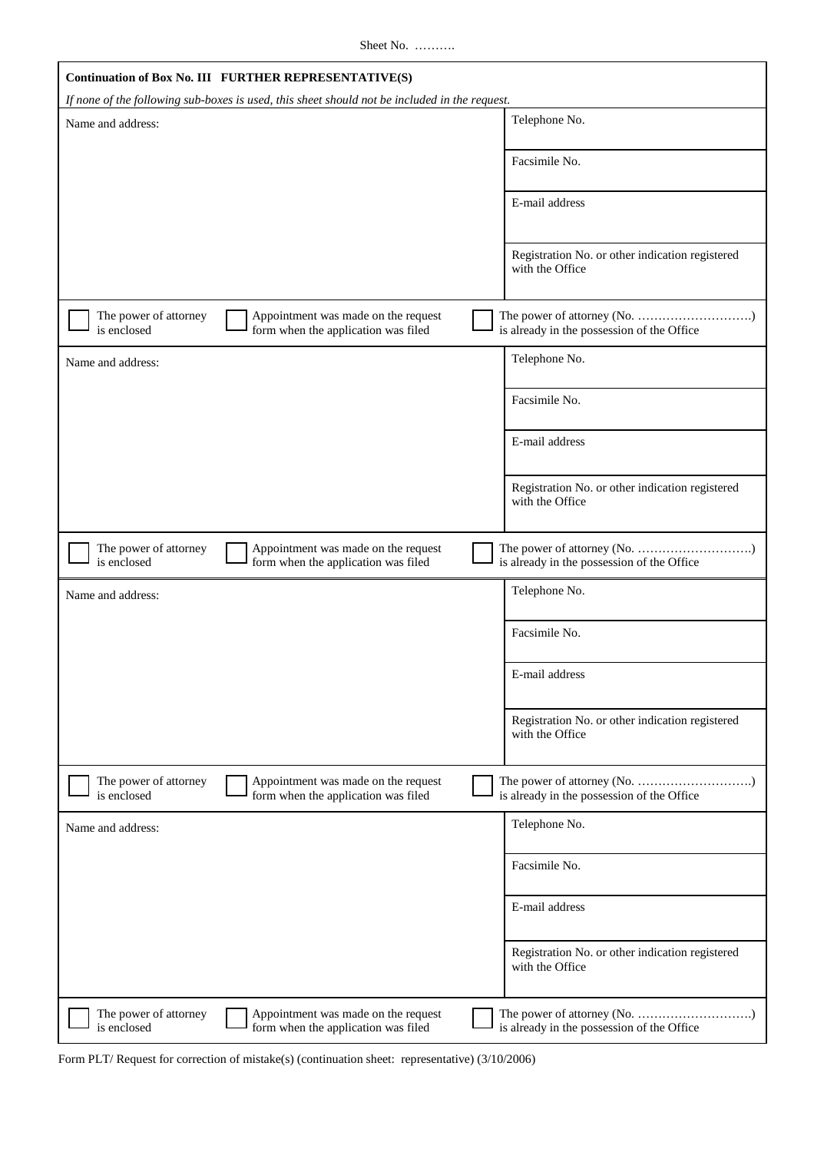Sheet No. ………..

|                                      | Continuation of Box No. III FURTHER REPRESENTATIVE(S)                                         |                                                                    |
|--------------------------------------|-----------------------------------------------------------------------------------------------|--------------------------------------------------------------------|
|                                      | If none of the following sub-boxes is used, this sheet should not be included in the request. |                                                                    |
| Name and address:                    |                                                                                               | Telephone No.                                                      |
|                                      |                                                                                               | Facsimile No.                                                      |
|                                      |                                                                                               | E-mail address                                                     |
|                                      |                                                                                               | Registration No. or other indication registered<br>with the Office |
| The power of attorney<br>is enclosed | Appointment was made on the request<br>form when the application was filed                    | is already in the possession of the Office                         |
| Name and address:                    |                                                                                               | Telephone No.                                                      |
|                                      |                                                                                               | Facsimile No.                                                      |
|                                      |                                                                                               | E-mail address                                                     |
|                                      |                                                                                               | Registration No. or other indication registered<br>with the Office |
| The power of attorney<br>is enclosed | Appointment was made on the request<br>form when the application was filed                    | is already in the possession of the Office                         |
| Name and address:                    |                                                                                               | Telephone No.                                                      |
|                                      |                                                                                               | Facsimile No.                                                      |
|                                      |                                                                                               | E-mail address                                                     |
|                                      |                                                                                               | Registration No. or other indication registered<br>with the Office |
| The power of attorney<br>is enclosed | Appointment was made on the request<br>form when the application was filed                    | is already in the possession of the Office                         |
| Name and address:                    |                                                                                               | Telephone No.                                                      |
|                                      |                                                                                               | Facsimile No.                                                      |
|                                      |                                                                                               | E-mail address                                                     |
|                                      |                                                                                               | Registration No. or other indication registered<br>with the Office |
| The power of attorney<br>is enclosed | Appointment was made on the request<br>form when the application was filed                    | is already in the possession of the Office                         |

Form PLT/ Request for correction of mistake(s) (continuation sheet: representative) (3/10/2006)